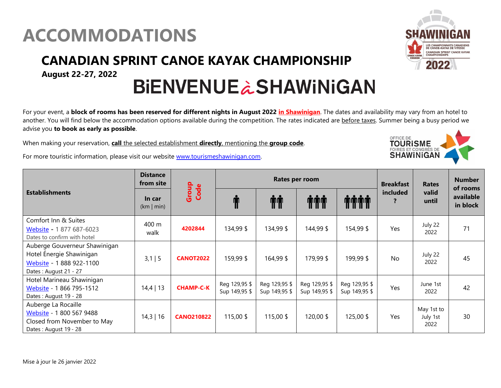## **ACCOMMODATIONS**

### **CANADIAN SPRINT CANOE KAYAK CHAMPIONSHIP**

**August 22-27, 2022**

# **BIENVENUE à SHAWINIGAN**

For your event, a **block of rooms has been reserved for different nights in August 2022 in Shawinigan**. The dates and availability may vary from an hotel to another. You will find below the accommodation options available during the competition. The rates indicated are before taxes. Summer being a busy period we advise you **to book as early as possible**.

When making your reservation, **call** the selected establishment **directly**, mentioning the **group code**.

For more touristic information, please visit our website [www.tourismeshawinigan.com.](http://www.tourismeshawinigan.com/)

| <b>Establishments</b>                                                                                          | <b>Distance</b><br>from site | Group<br>Code     |                                | Rates per room                 | <b>Breakfast</b>               | <b>Rates</b>                   | <b>Number</b><br>of rooms  |                                |                       |
|----------------------------------------------------------------------------------------------------------------|------------------------------|-------------------|--------------------------------|--------------------------------|--------------------------------|--------------------------------|----------------------------|--------------------------------|-----------------------|
|                                                                                                                | In car<br>(km   min)         |                   |                                | ŤŤ                             | <b>THE</b>                     | <b>THUT</b>                    | included<br>$\overline{?}$ | valid<br>until                 | available<br>in block |
| Comfort Inn & Suites<br>Website - 1 877 687-6023<br>Dates to confirm with hotel                                | 400 m<br>walk                | 4202844           | 134,99 \$                      | 134,99 \$                      | 144,99 \$                      | 154,99 \$                      | Yes                        | July 22<br>2022                | 71                    |
| Auberge Gouverneur Shawinigan<br>Hotel Énergie Shawinigan<br>Website - 1 888 922-1100<br>Dates: August 21 - 27 | $3,1$   5                    | <b>CANOT2022</b>  | 159,99\$                       | 164,99 \$                      | 179,99 \$                      | 199,99 \$                      | <b>No</b>                  | July 22<br>2022                | 45                    |
| Hotel Marineau Shawinigan<br>Website - 1 866 795-1512<br>Dates: August 19 - 28                                 | $14,4$   13                  | <b>CHAMP-C-K</b>  | Reg 129,95 \$<br>Sup 149,95 \$ | Reg 129,95 \$<br>Sup 149,95 \$ | Reg 129,95 \$<br>Sup 149,95 \$ | Reg 129,95 \$<br>Sup 149,95 \$ | Yes                        | June 1st<br>2022               | 42                    |
| Auberge La Rocaille<br>Website - 1 800 567 9488<br>Closed from November to May<br>Dates: August 19 - 28        | $14,3$   16                  | <b>CANO210822</b> | 115,00\$                       | 115,00 \$                      | 120,00\$                       | 125,00 \$                      | Yes                        | May 1st to<br>July 1st<br>2022 | 30                    |